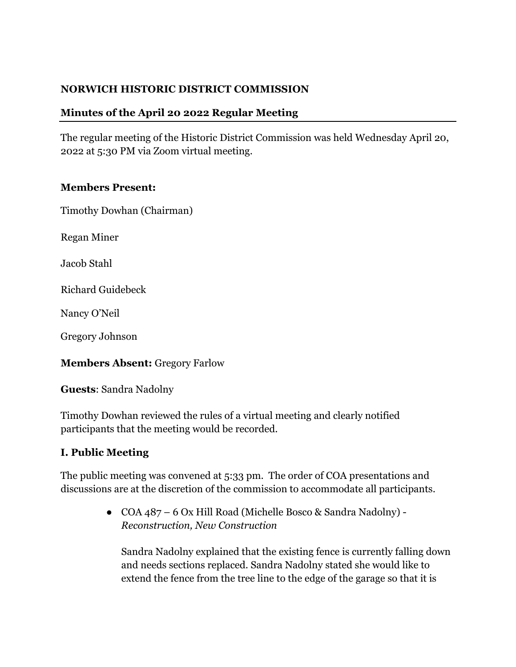### **NORWICH HISTORIC DISTRICT COMMISSION**

### **Minutes of the April 20 2022 Regular Meeting**

The regular meeting of the Historic District Commission was held Wednesday April 20, 2022 at 5:30 PM via Zoom virtual meeting.

#### **Members Present:**

Timothy Dowhan (Chairman)

Regan Miner

Jacob Stahl

Richard Guidebeck

Nancy O'Neil

Gregory Johnson

**Members Absent:** Gregory Farlow

**Guests**: Sandra Nadolny

Timothy Dowhan reviewed the rules of a virtual meeting and clearly notified participants that the meeting would be recorded.

#### **I. Public Meeting**

The public meeting was convened at 5:33 pm. The order of COA presentations and discussions are at the discretion of the commission to accommodate all participants.

> ● COA 487 – 6 Ox Hill Road (Michelle Bosco & Sandra Nadolny) - *Reconstruction, New Construction*

Sandra Nadolny explained that the existing fence is currently falling down and needs sections replaced. Sandra Nadolny stated she would like to extend the fence from the tree line to the edge of the garage so that it is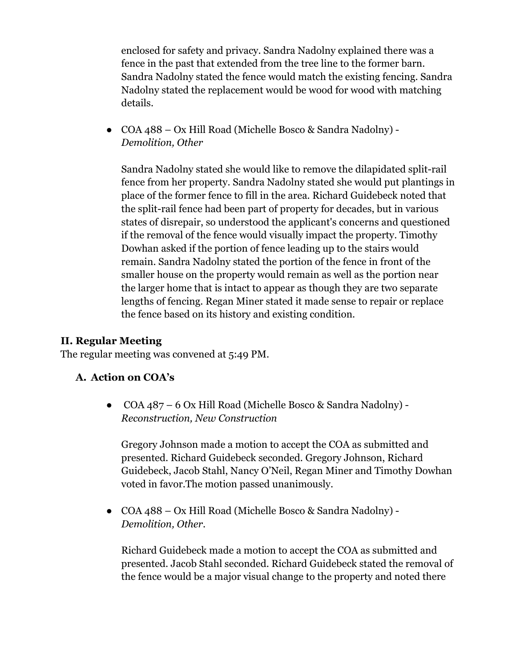enclosed for safety and privacy. Sandra Nadolny explained there was a fence in the past that extended from the tree line to the former barn. Sandra Nadolny stated the fence would match the existing fencing. Sandra Nadolny stated the replacement would be wood for wood with matching details.

● COA 488 – Ox Hill Road (Michelle Bosco & Sandra Nadolny) - *Demolition, Other* 

Sandra Nadolny stated she would like to remove the dilapidated split-rail fence from her property. Sandra Nadolny stated she would put plantings in place of the former fence to fill in the area. Richard Guidebeck noted that the split-rail fence had been part of property for decades, but in various states of disrepair, so understood the applicant's concerns and questioned if the removal of the fence would visually impact the property. Timothy Dowhan asked if the portion of fence leading up to the stairs would remain. Sandra Nadolny stated the portion of the fence in front of the smaller house on the property would remain as well as the portion near the larger home that is intact to appear as though they are two separate lengths of fencing. Regan Miner stated it made sense to repair or replace the fence based on its history and existing condition.

## **II. Regular Meeting**

The regular meeting was convened at 5:49 PM.

#### **A. Action on COA's**

● COA 487 – 6 Ox Hill Road (Michelle Bosco & Sandra Nadolny) - *Reconstruction, New Construction* 

Gregory Johnson made a motion to accept the COA as submitted and presented. Richard Guidebeck seconded. Gregory Johnson, Richard Guidebeck, Jacob Stahl, Nancy O'Neil, Regan Miner and Timothy Dowhan voted in favor.The motion passed unanimously.

● COA 488 – Ox Hill Road (Michelle Bosco & Sandra Nadolny) - *Demolition, Other*.

Richard Guidebeck made a motion to accept the COA as submitted and presented. Jacob Stahl seconded. Richard Guidebeck stated the removal of the fence would be a major visual change to the property and noted there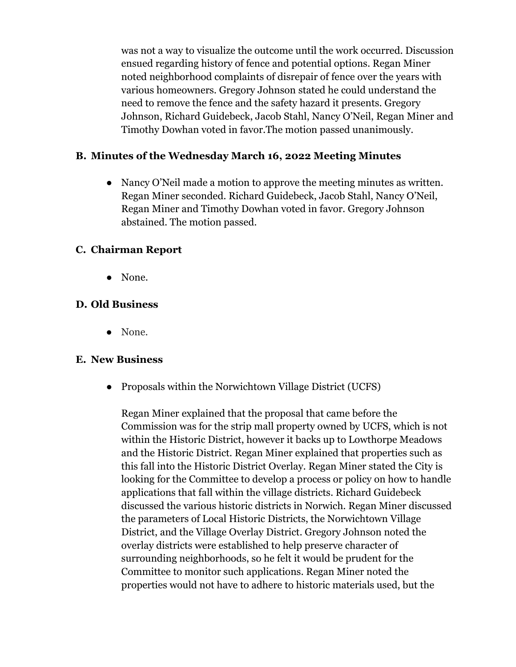was not a way to visualize the outcome until the work occurred. Discussion ensued regarding history of fence and potential options. Regan Miner noted neighborhood complaints of disrepair of fence over the years with various homeowners. Gregory Johnson stated he could understand the need to remove the fence and the safety hazard it presents. Gregory Johnson, Richard Guidebeck, Jacob Stahl, Nancy O'Neil, Regan Miner and Timothy Dowhan voted in favor.The motion passed unanimously.

### **B. Minutes of the Wednesday March 16, 2022 Meeting Minutes**

• Nancy O'Neil made a motion to approve the meeting minutes as written. Regan Miner seconded. Richard Guidebeck, Jacob Stahl, Nancy O'Neil, Regan Miner and Timothy Dowhan voted in favor. Gregory Johnson abstained. The motion passed.

### **C. Chairman Report**

● None.

### **D. Old Business**

● None.

#### **E. New Business**

● Proposals within the Norwichtown Village District (UCFS)

Regan Miner explained that the proposal that came before the Commission was for the strip mall property owned by UCFS, which is not within the Historic District, however it backs up to Lowthorpe Meadows and the Historic District. Regan Miner explained that properties such as this fall into the Historic District Overlay. Regan Miner stated the City is looking for the Committee to develop a process or policy on how to handle applications that fall within the village districts. Richard Guidebeck discussed the various historic districts in Norwich. Regan Miner discussed the parameters of Local Historic Districts, the Norwichtown Village District, and the Village Overlay District. Gregory Johnson noted the overlay districts were established to help preserve character of surrounding neighborhoods, so he felt it would be prudent for the Committee to monitor such applications. Regan Miner noted the properties would not have to adhere to historic materials used, but the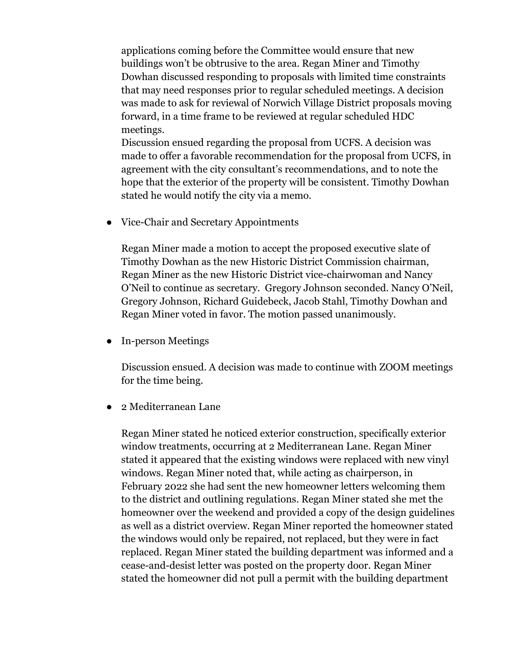applications coming before the Committee would ensure that new buildings won't be obtrusive to the area. Regan Miner and Timothy Dowhan discussed responding to proposals with limited time constraints that may need responses prior to regular scheduled meetings. A decision was made to ask for reviewal of Norwich Village District proposals moving forward, in a time frame to be reviewed at regular scheduled HDC meetings.

Discussion ensued regarding the proposal from UCFS. A decision was made to offer a favorable recommendation for the proposal from UCFS, in agreement with the city consultant's recommendations, and to note the hope that the exterior of the property will be consistent. Timothy Dowhan stated he would notify the city via a memo.

● Vice-Chair and Secretary Appointments

Regan Miner made a motion to accept the proposed executive slate of Timothy Dowhan as the new Historic District Commission chairman, Regan Miner as the new Historic District vice-chairwoman and Nancy O'Neil to continue as secretary. Gregory Johnson seconded. Nancy O'Neil, Gregory Johnson, Richard Guidebeck, Jacob Stahl, Timothy Dowhan and Regan Miner voted in favor. The motion passed unanimously.

● In-person Meetings

Discussion ensued. A decision was made to continue with ZOOM meetings for the time being.

2 Mediterranean Lane

Regan Miner stated he noticed exterior construction, specifically exterior window treatments, occurring at 2 Mediterranean Lane. Regan Miner stated it appeared that the existing windows were replaced with new vinyl windows. Regan Miner noted that, while acting as chairperson, in February 2022 she had sent the new homeowner letters welcoming them to the district and outlining regulations. Regan Miner stated she met the homeowner over the weekend and provided a copy of the design guidelines as well as a district overview. Regan Miner reported the homeowner stated the windows would only be repaired, not replaced, but they were in fact replaced. Regan Miner stated the building department was informed and a cease-and-desist letter was posted on the property door. Regan Miner stated the homeowner did not pull a permit with the building department